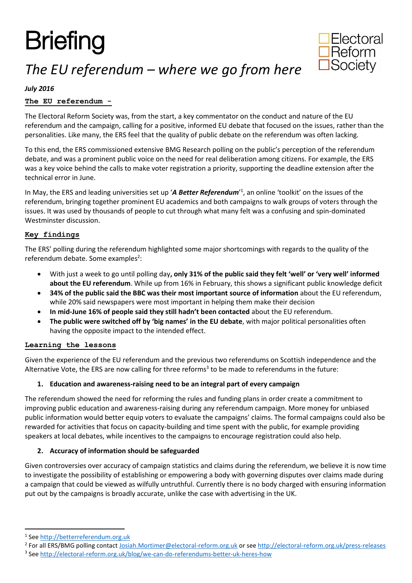# **Briefing**



# *The EU referendum – where we go from here*

## *July 2016*

## **The EU referendum -**

The Electoral Reform Society was, from the start, a key commentator on the conduct and nature of the EU referendum and the campaign, calling for a positive, informed EU debate that focused on the issues, rather than the personalities. Like many, the ERS feel that the quality of public debate on the referendum was often lacking.

To this end, the ERS commissioned extensive BMG Research polling on the public's perception of the referendum debate, and was a prominent public voice on the need for real deliberation among citizens. For example, the ERS was a key voice behind the calls to make voter registration a priority, supporting the deadline extension after the technical error in June.

In May, the ERS and leading universities set up '*A Better Referendum*' 1 , an online 'toolkit' on the issues of the referendum, bringing together prominent EU academics and both campaigns to walk groups of voters through the issues. It was used by thousands of people to cut through what many felt was a confusing and spin-dominated Westminster discussion.

#### **Key findings**

The ERS' polling during the referendum highlighted some major shortcomings with regards to the quality of the referendum debate. Some examples<sup>2</sup>:

- With just a week to go until polling day**, only 31% of the public said they felt 'well' or 'very well' informed about the EU referendum**. While up from 16% in February, this shows a significant public knowledge deficit
- **34% of the public said the BBC was their most important source of information** about the EU referendum, while 20% said newspapers were most important in helping them make their decision
- **In mid-June 16% of people said they still hadn't been contacted** about the EU referendum.
- **The public were switched off by 'big names' in the EU debate**, with major political personalities often having the opposite impact to the intended effect.

#### **Learning the lessons**

Given the experience of the EU referendum and the previous two referendums on Scottish independence and the Alternative Vote, the ERS are now calling for three reforms<sup>3</sup> to be made to referendums in the future:

#### **1. Education and awareness-raising need to be an integral part of every campaign**

The referendum showed the need for reforming the rules and funding plans in order create a commitment to improving public education and awareness-raising during any referendum campaign. More money for unbiased public information would better equip voters to evaluate the campaigns' claims. The formal campaigns could also be rewarded for activities that focus on capacity-building and time spent with the public, for example providing speakers at local debates, while incentives to the campaigns to encourage registration could also help.

#### **2. Accuracy of information should be safeguarded**

Given controversies over accuracy of campaign statistics and claims during the referendum, we believe it is now time to investigate the possibility of establishing or empowering a body with governing disputes over claims made during a campaign that could be viewed as wilfully untruthful. Currently there is no body charged with ensuring information put out by the campaigns is broadly accurate, unlike the case with advertising in the UK.

**.** 

<sup>&</sup>lt;sup>1</sup> See [http://betterreferendum.org.uk](http://betterreferendum.org.uk/)

<sup>&</sup>lt;sup>2</sup> For all ERS/BMG polling contac[t Josiah.Mortimer@electoral-reform.org.uk](mailto:Josiah.Mortimer@electoral-reform.org.uk) or see<http://electoral-reform.org.uk/press-releases>

<sup>&</sup>lt;sup>3</sup> See<http://electoral-reform.org.uk/blog/we-can-do-referendums-better-uk-heres-how>